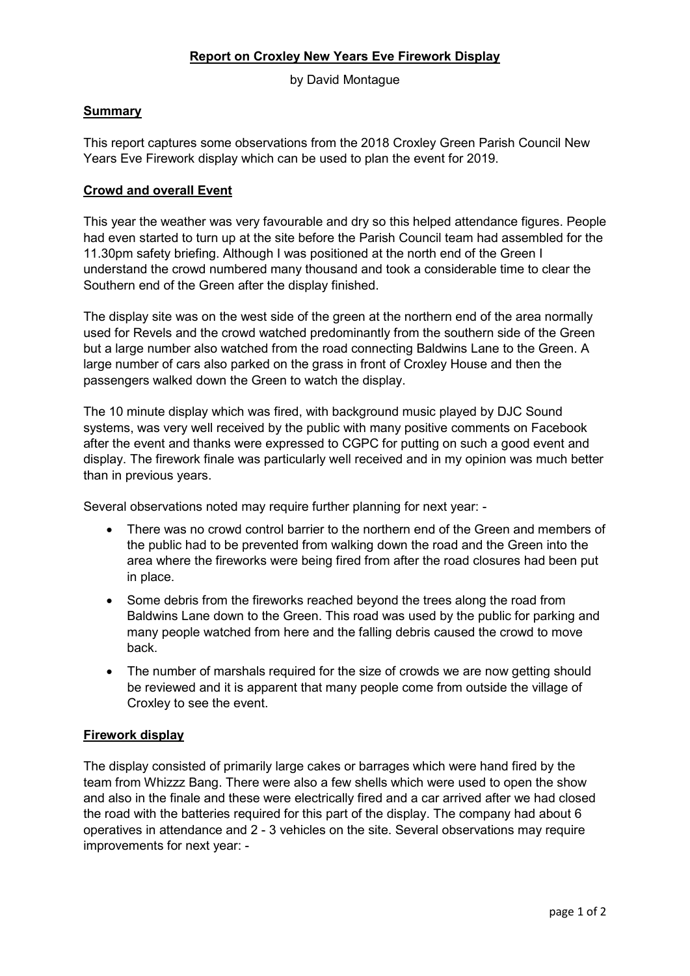## **Report on Croxley New Years Eve Firework Display**

by David Montague

## **Summary**

This report captures some observations from the 2018 Croxley Green Parish Council New Years Eve Firework display which can be used to plan the event for 2019.

## **Crowd and overall Event**

This year the weather was very favourable and dry so this helped attendance figures. People had even started to turn up at the site before the Parish Council team had assembled for the 11.30pm safety briefing. Although I was positioned at the north end of the Green I understand the crowd numbered many thousand and took a considerable time to clear the Southern end of the Green after the display finished.

The display site was on the west side of the green at the northern end of the area normally used for Revels and the crowd watched predominantly from the southern side of the Green but a large number also watched from the road connecting Baldwins Lane to the Green. A large number of cars also parked on the grass in front of Croxley House and then the passengers walked down the Green to watch the display.

The 10 minute display which was fired, with background music played by DJC Sound systems, was very well received by the public with many positive comments on Facebook after the event and thanks were expressed to CGPC for putting on such a good event and display. The firework finale was particularly well received and in my opinion was much better than in previous years.

Several observations noted may require further planning for next year: -

- There was no crowd control barrier to the northern end of the Green and members of the public had to be prevented from walking down the road and the Green into the area where the fireworks were being fired from after the road closures had been put in place.
- Some debris from the fireworks reached beyond the trees along the road from Baldwins Lane down to the Green. This road was used by the public for parking and many people watched from here and the falling debris caused the crowd to move back.
- The number of marshals required for the size of crowds we are now getting should be reviewed and it is apparent that many people come from outside the village of Croxley to see the event.

## **Firework display**

The display consisted of primarily large cakes or barrages which were hand fired by the team from Whizzz Bang. There were also a few shells which were used to open the show and also in the finale and these were electrically fired and a car arrived after we had closed the road with the batteries required for this part of the display. The company had about 6 operatives in attendance and 2 - 3 vehicles on the site. Several observations may require improvements for next year: -